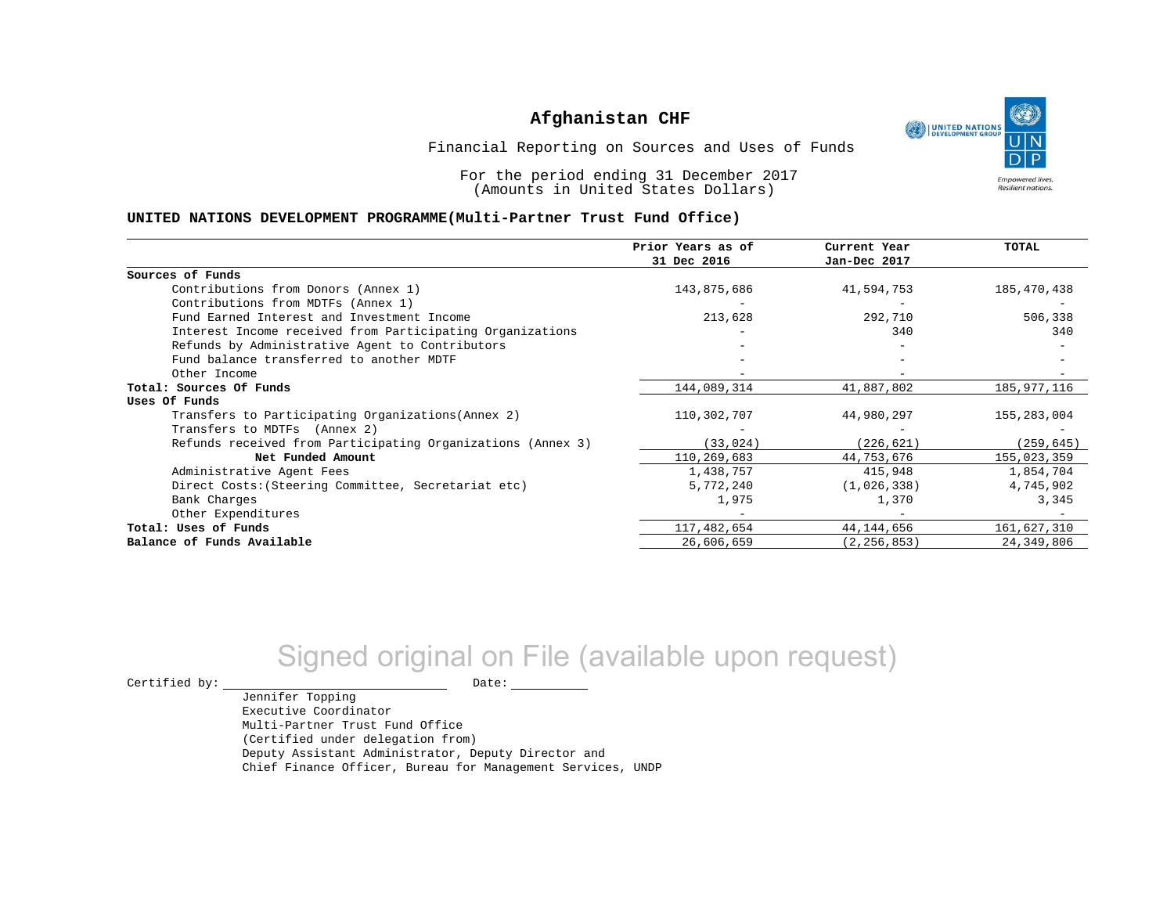

Financial Reporting on Sources and Uses of Funds

For the period ending 31 December 2017 (Amounts in United States Dollars)

#### **UNITED NATIONS DEVELOPMENT PROGRAMME(Multi-Partner Trust Fund Office)**

|                                                             | Prior Years as of<br>31 Dec 2016 | Current Year<br>Jan-Dec 2017 | <b>TOTAL</b> |
|-------------------------------------------------------------|----------------------------------|------------------------------|--------------|
| Sources of Funds                                            |                                  |                              |              |
| Contributions from Donors (Annex 1)                         | 143,875,686                      | 41,594,753                   | 185,470,438  |
| Contributions from MDTFs (Annex 1)                          |                                  |                              |              |
| Fund Earned Interest and Investment Income                  | 213,628                          | 292,710                      | 506,338      |
| Interest Income received from Participating Organizations   |                                  | 340                          | 340          |
| Refunds by Administrative Agent to Contributors             |                                  |                              |              |
| Fund balance transferred to another MDTF                    |                                  |                              |              |
| Other Income                                                |                                  |                              |              |
| Total: Sources Of Funds                                     | 144,089,314                      | 41,887,802                   | 185,977,116  |
| Uses Of Funds                                               |                                  |                              |              |
| Transfers to Participating Organizations (Annex 2)          | 110,302,707                      | 44,980,297                   | 155,283,004  |
| Transfers to MDTFs (Annex 2)                                |                                  |                              |              |
| Refunds received from Participating Organizations (Annex 3) | (33, 024)                        | (226, 621)                   | (259, 645)   |
| Net Funded Amount                                           | 110,269,683                      | 44,753,676                   | 155,023,359  |
| Administrative Agent Fees                                   | 1,438,757                        | 415,948                      | 1,854,704    |
| Direct Costs: (Steering Committee, Secretariat etc)         | 5,772,240                        | (1,026,338)                  | 4,745,902    |
| Bank Charges                                                | 1,975                            | 1,370                        | 3,345        |
| Other Expenditures                                          |                                  |                              |              |
| Total: Uses of Funds                                        | 117,482,654                      | 44,144,656                   | 161,627,310  |
| Balance of Funds Available                                  | 26,606,659                       | (2, 256, 853)                | 24, 349, 806 |

# Signed original on File (available upon request)

 $\begin{tabular}{ccccc} \multicolumn{2}{c|}{\textbf{Certified by:}} & \multicolumn{2}{c|}{\textbf{Date:}} \end{tabular}$ 

Jennifer Topping

Executive Coordinator Multi-Partner Trust Fund Office (Certified under delegation from) Deputy Assistant Administrator, Deputy Director and Chief Finance Officer, Bureau for Management Services, UNDP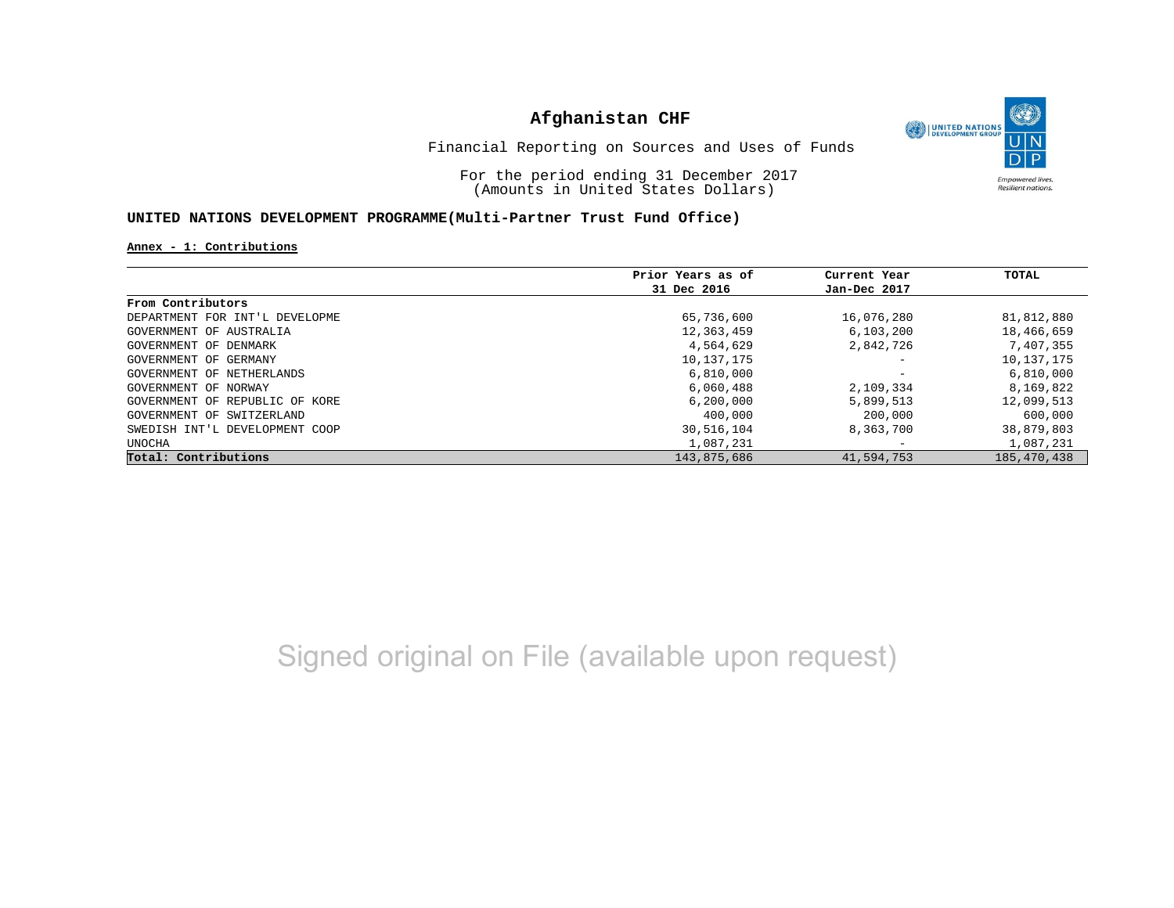

Financial Reporting on Sources and Uses of Funds

For the period ending 31 December 2017 (Amounts in United States Dollars)

#### **UNITED NATIONS DEVELOPMENT PROGRAMME(Multi-Partner Trust Fund Office)**

**Annex - 1: Contributions**

|                                | Prior Years as of | Current Year             | TOTAL         |
|--------------------------------|-------------------|--------------------------|---------------|
|                                | 31 Dec 2016       | Jan-Dec 2017             |               |
| From Contributors              |                   |                          |               |
| DEPARTMENT FOR INT'L DEVELOPME | 65,736,600        | 16,076,280               | 81,812,880    |
| GOVERNMENT OF AUSTRALIA        | 12,363,459        | 6, 103, 200              | 18,466,659    |
| GOVERNMENT OF DENMARK          | 4,564,629         | 2,842,726                | 7,407,355     |
| GOVERNMENT OF GERMANY          | 10,137,175        | $\overline{\phantom{m}}$ | 10, 137, 175  |
| GOVERNMENT OF NETHERLANDS      | 6,810,000         | $\overline{\phantom{m}}$ | 6,810,000     |
| GOVERNMENT OF NORWAY           | 6,060,488         | 2,109,334                | 8,169,822     |
| GOVERNMENT OF REPUBLIC OF KORE | 6, 200, 000       | 5,899,513                | 12,099,513    |
| GOVERNMENT OF SWITZERLAND      | 400,000           | 200,000                  | 600,000       |
| SWEDISH INT'L DEVELOPMENT COOP | 30,516,104        | 8,363,700                | 38,879,803    |
| UNOCHA                         | 1,087,231         | $\overline{\phantom{m}}$ | 1,087,231     |
| Total: Contributions           | 143,875,686       | 41,594,753               | 185, 470, 438 |

Signed original on File (available upon request)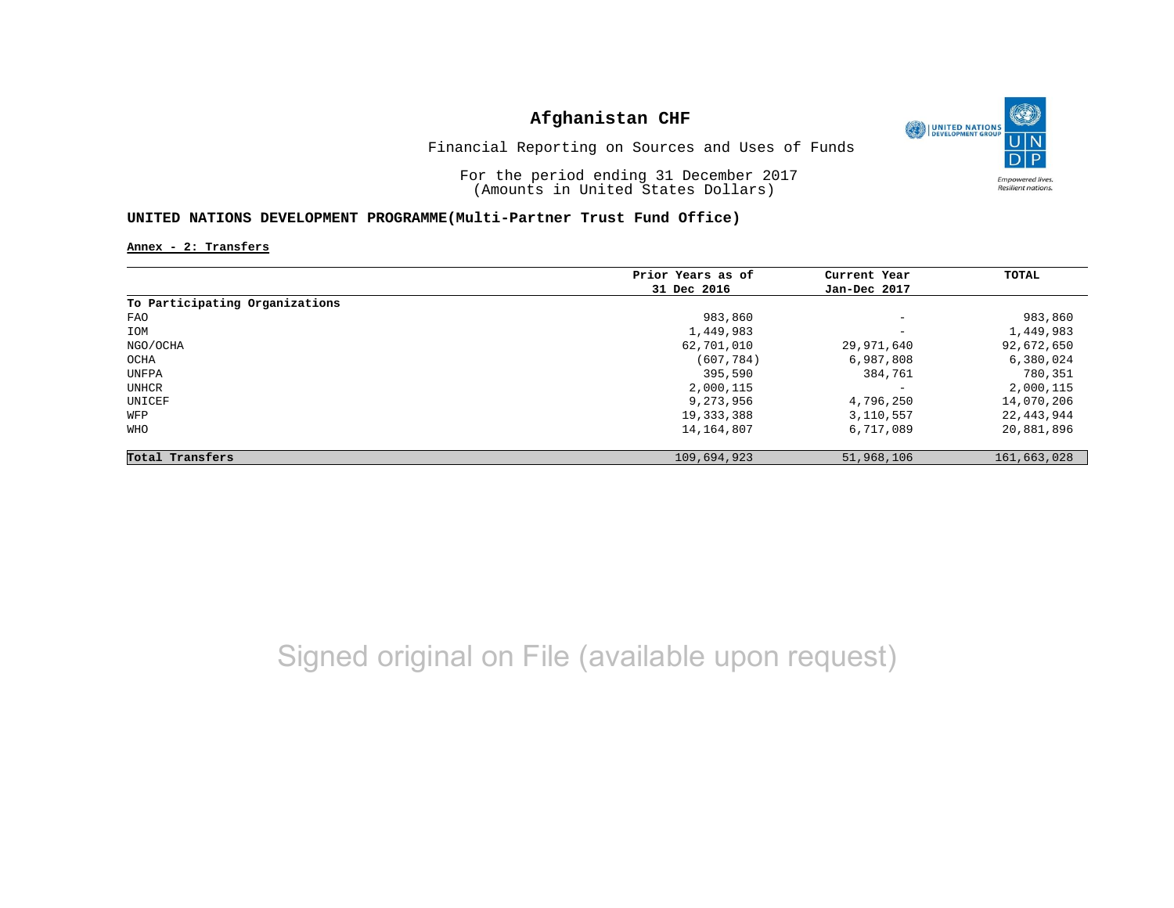

Financial Reporting on Sources and Uses of Funds

For the period ending 31 December 2017 (Amounts in United States Dollars)

#### **UNITED NATIONS DEVELOPMENT PROGRAMME(Multi-Partner Trust Fund Office)**

**Annex - 2: Transfers**

|                                | Prior Years as of | Current Year             | <b>TOTAL</b> |
|--------------------------------|-------------------|--------------------------|--------------|
|                                | 31 Dec 2016       | Jan-Dec 2017             |              |
| To Participating Organizations |                   |                          |              |
| FAO                            | 983,860           | $\overline{\phantom{a}}$ | 983,860      |
| IOM                            | 1,449,983         | $\overline{\phantom{a}}$ | 1,449,983    |
| NGO/OCHA                       | 62,701,010        | 29,971,640               | 92,672,650   |
| OCHA                           | (607, 784)        | 6,987,808                | 6,380,024    |
| UNFPA                          | 395,590           | 384,761                  | 780,351      |
| UNHCR                          | 2,000,115         | $\overline{\phantom{m}}$ | 2,000,115    |
| UNICEF                         | 9,273,956         | 4,796,250                | 14,070,206   |
| WFP                            | 19, 333, 388      | 3,110,557                | 22,443,944   |
| <b>WHO</b>                     | 14,164,807        | 6,717,089                | 20,881,896   |
| Total Transfers                | 109,694,923       | 51,968,106               | 161,663,028  |

Signed original on File (available upon request)